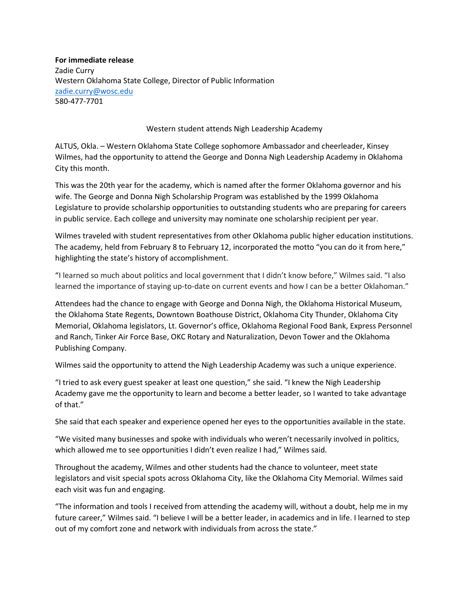**For immediate release** Zadie Curry Western Oklahoma State College, Director of Public Information [zadie.curry@wosc.edu](mailto:zadie.curry@wosc.edu) 580-477-7701

## Western student attends Nigh Leadership Academy

ALTUS, Okla. – Western Oklahoma State College sophomore Ambassador and cheerleader, Kinsey Wilmes, had the opportunity to attend the George and Donna Nigh Leadership Academy in Oklahoma City this month.

This was the 20th year for the academy, which is named after the former Oklahoma governor and his wife. The George and Donna Nigh Scholarship Program was established by the 1999 Oklahoma Legislature to provide scholarship opportunities to outstanding students who are preparing for careers in public service. Each college and university may nominate one scholarship recipient per year.

Wilmes traveled with student representatives from other Oklahoma public higher education institutions. The academy, held from February 8 to February 12, incorporated the motto "you can do it from here," highlighting the state's history of accomplishment.

"I learned so much about politics and local government that I didn't know before," Wilmes said. "I also learned the importance of staying up-to-date on current events and how I can be a better Oklahoman."

Attendees had the chance to engage with George and Donna Nigh, the Oklahoma Historical Museum, the Oklahoma State Regents, Downtown Boathouse District, Oklahoma City Thunder, Oklahoma City Memorial, Oklahoma legislators, Lt. Governor's office, Oklahoma Regional Food Bank, Express Personnel and Ranch, Tinker Air Force Base, OKC Rotary and Naturalization, Devon Tower and the Oklahoma Publishing Company.

Wilmes said the opportunity to attend the Nigh Leadership Academy was such a unique experience.

"I tried to ask every guest speaker at least one question," she said. "I knew the Nigh Leadership Academy gave me the opportunity to learn and become a better leader, so I wanted to take advantage of that."

She said that each speaker and experience opened her eyes to the opportunities available in the state.

"We visited many businesses and spoke with individuals who weren't necessarily involved in politics, which allowed me to see opportunities I didn't even realize I had," Wilmes said.

Throughout the academy, Wilmes and other students had the chance to volunteer, meet state legislators and visit special spots across Oklahoma City, like the Oklahoma City Memorial. Wilmes said each visit was fun and engaging.

"The information and tools I received from attending the academy will, without a doubt, help me in my future career," Wilmes said. "I believe I will be a better leader, in academics and in life. I learned to step out of my comfort zone and network with individuals from across the state."